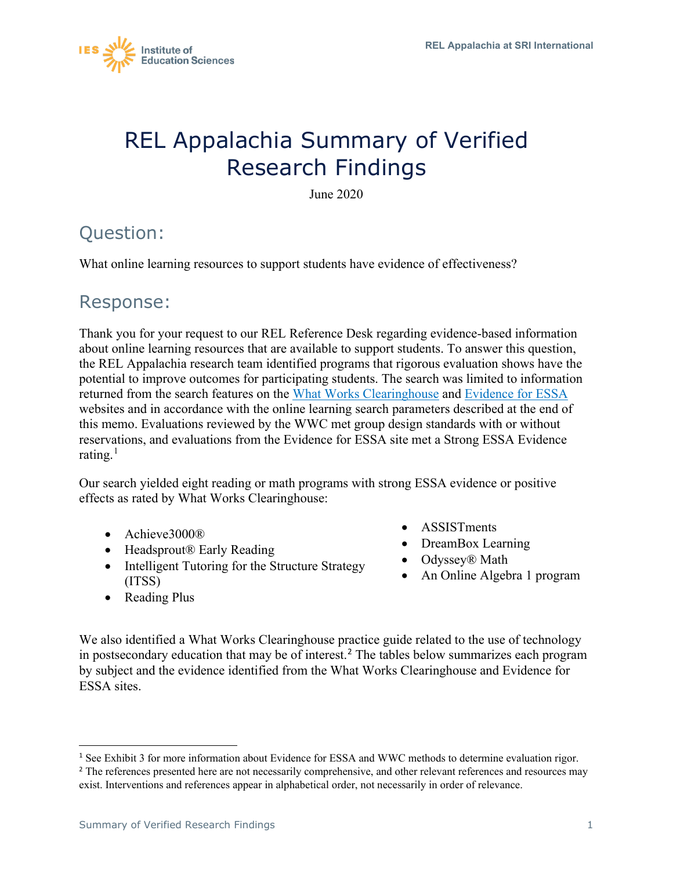

# REL Appalachia Summary of Verified Research Findings

June 2020

## Question:

What online learning resources to support students have evidence of effectiveness?

## Response:

Thank you for your request to our REL Reference Desk regarding evidence-based information about online learning resources that are available to support students. To answer this question, the REL Appalachia research team identified programs that rigorous evaluation shows have the potential to improve outcomes for participating students. The search was limited to information returned from the search features on the [What Works Clearinghouse](https://ies.ed.gov/ncee/wwc/) and [Evidence for ESSA](https://www.evidenceforessa.org/) websites and in accordance with the online learning search parameters described at the end of this memo. Evaluations reviewed by the WWC met group design standards with or without reservations, and evaluations from the Evidence for ESSA site met a Strong ESSA Evidence rating.<sup>[1](#page-0-0)</sup>

Our search yielded eight reading or math programs with strong ESSA evidence or positive effects as rated by What Works Clearinghouse:

- Achieve3000®
- Headsprout® Early Reading
- Intelligent Tutoring for the Structure Strategy (ITSS)
- Reading Plus
- ASSISTments
- DreamBox Learning
- Odyssey® Math
- An Online Algebra 1 program

We also identified a What Works Clearinghouse practice guide related to the use of technology in postsecondary education that may be of interest.<sup>[2](#page-0-1)</sup> The tables below summarizes each program by subject and the evidence identified from the What Works Clearinghouse and Evidence for ESSA sites.

<span id="page-0-0"></span><sup>1</sup> See Exhibit 3 for more information about Evidence for ESSA and WWC methods to determine evaluation rigor.

<span id="page-0-1"></span><sup>&</sup>lt;sup>2</sup> The references presented here are not necessarily comprehensive, and other relevant references and resources may exist. Interventions and references appear in alphabetical order, not necessarily in order of relevance.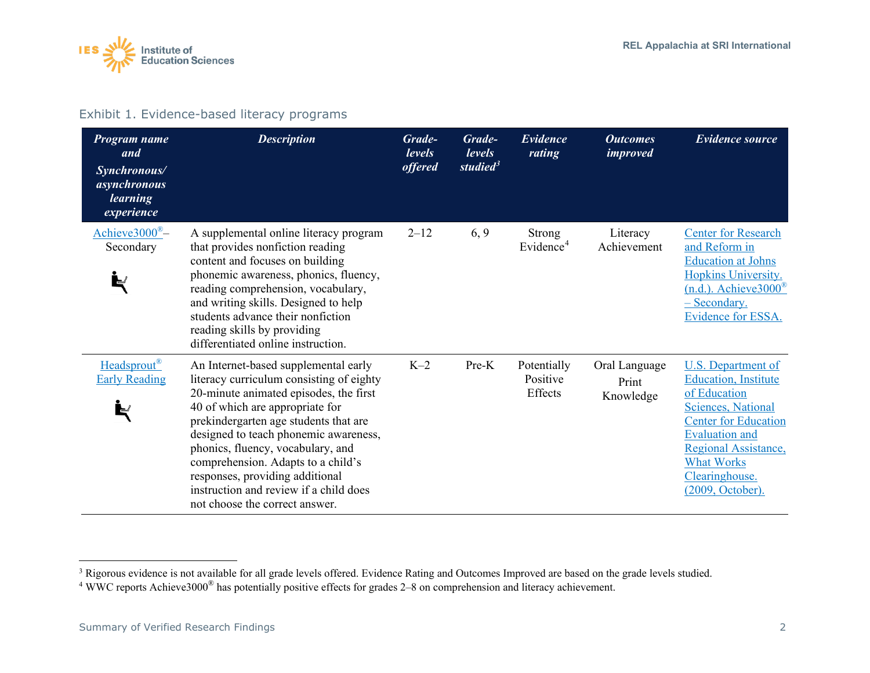<span id="page-1-1"></span><span id="page-1-0"></span>

#### Exhibit 1. Evidence-based literacy programs

| Program name<br>and<br>Synchronous/<br>asynchronous<br><i>learning</i><br>experience | <b>Description</b>                                                                                                                                                                                                                                                                                                                                                                                                                        | Grade-<br>levels<br><i>offered</i> | Grade-<br>levels<br>studied $3$ | Evidence<br>rating                     | <b>Outcomes</b><br><i>improved</i>  | <b>Evidence source</b>                                                                                                                                                                                                                     |
|--------------------------------------------------------------------------------------|-------------------------------------------------------------------------------------------------------------------------------------------------------------------------------------------------------------------------------------------------------------------------------------------------------------------------------------------------------------------------------------------------------------------------------------------|------------------------------------|---------------------------------|----------------------------------------|-------------------------------------|--------------------------------------------------------------------------------------------------------------------------------------------------------------------------------------------------------------------------------------------|
| Achieve $3000^{\circ}$ -<br>Secondary                                                | A supplemental online literacy program<br>that provides nonfiction reading<br>content and focuses on building<br>phonemic awareness, phonics, fluency,<br>reading comprehension, vocabulary,<br>and writing skills. Designed to help<br>students advance their nonfiction<br>reading skills by providing<br>differentiated online instruction.                                                                                            | $2 - 12$                           | 6, 9                            | <b>Strong</b><br>Evidence <sup>4</sup> | Literacy<br>Achievement             | <b>Center for Research</b><br>and Reform in<br><b>Education at Johns</b><br>Hopkins University.<br>$(n.d.).$ Achieve $3000^{\circ}$<br>- Secondary.<br>Evidence for ESSA.                                                                  |
| Headsprout <sup>®</sup><br><b>Early Reading</b>                                      | An Internet-based supplemental early<br>literacy curriculum consisting of eighty<br>20-minute animated episodes, the first<br>40 of which are appropriate for<br>prekindergarten age students that are<br>designed to teach phonemic awareness,<br>phonics, fluency, vocabulary, and<br>comprehension. Adapts to a child's<br>responses, providing additional<br>instruction and review if a child does<br>not choose the correct answer. | $K-2$                              | Pre-K                           | Potentially<br>Positive<br>Effects     | Oral Language<br>Print<br>Knowledge | U.S. Department of<br><b>Education</b> , Institute<br>of Education<br><b>Sciences, National</b><br><b>Center for Education</b><br><b>Evaluation and</b><br>Regional Assistance,<br><b>What Works</b><br>Clearinghouse.<br>(2009, October). |

<sup>&</sup>lt;sup>3</sup> Rigorous evidence is not available for all grade levels offered. Evidence Rating and Outcomes Improved are based on the grade levels studied.

<sup>4</sup> WWC reports Achieve3000® has potentially positive effects for grades 2–8 on comprehension and literacy achievement.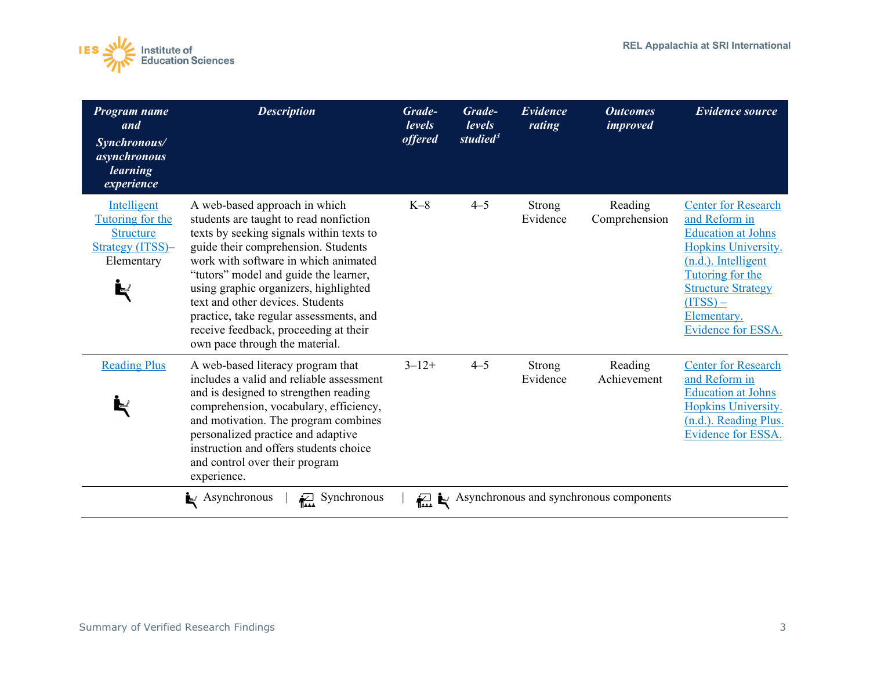

| $K-8$<br>$4 - 5$<br>Intelligent<br>A web-based approach in which<br>Strong<br>Reading<br>Tutoring for the<br>Evidence<br>students are taught to read nonfiction<br>Comprehension<br>texts by seeking signals within texts to<br><b>Structure</b><br>Strategy (ITSS)-<br>guide their comprehension. Students<br>work with software in which animated<br>Elementary<br>"tutors" model and guide the learner,<br>using graphic organizers, highlighted<br>text and other devices. Students<br>$(TSS)$ –<br>practice, take regular assessments, and<br>Elementary.<br>receive feedback, proceeding at their<br>own pace through the material.<br>$4 - 5$<br>$3 - 12 +$<br><b>Reading Plus</b><br>A web-based literacy program that<br>Reading<br>Strong<br>includes a valid and reliable assessment<br>Evidence<br>Achievement<br>and is designed to strengthen reading<br>comprehension, vocabulary, efficiency, | Program name<br>and<br>Synchronous/<br>asynchronous<br><i>learning</i><br>experience | <b>Description</b> | Grade-<br><i>levels</i><br><i>offered</i> | Grade-<br>levels<br>studied $3$ | Evidence<br>rating | <b>Outcomes</b><br><i>improved</i> | <b>Evidence source</b>                                                                                                                                                                        |
|---------------------------------------------------------------------------------------------------------------------------------------------------------------------------------------------------------------------------------------------------------------------------------------------------------------------------------------------------------------------------------------------------------------------------------------------------------------------------------------------------------------------------------------------------------------------------------------------------------------------------------------------------------------------------------------------------------------------------------------------------------------------------------------------------------------------------------------------------------------------------------------------------------------|--------------------------------------------------------------------------------------|--------------------|-------------------------------------------|---------------------------------|--------------------|------------------------------------|-----------------------------------------------------------------------------------------------------------------------------------------------------------------------------------------------|
|                                                                                                                                                                                                                                                                                                                                                                                                                                                                                                                                                                                                                                                                                                                                                                                                                                                                                                               |                                                                                      |                    |                                           |                                 |                    |                                    | <b>Center for Research</b><br>and Reform in<br><b>Education at Johns</b><br>Hopkins University.<br>(n.d.). Intelligent<br>Tutoring for the<br><b>Structure Strategy</b><br>Evidence for ESSA. |
| and motivation. The program combines<br>personalized practice and adaptive<br>instruction and offers students choice<br>and control over their program<br>experience.<br>Synchronous                                                                                                                                                                                                                                                                                                                                                                                                                                                                                                                                                                                                                                                                                                                          |                                                                                      |                    |                                           |                                 |                    |                                    | <b>Center for Research</b><br>and Reform in<br><b>Education at Johns</b><br>Hopkins University.<br>(n.d.). Reading Plus.<br><b>Evidence for ESSA.</b>                                         |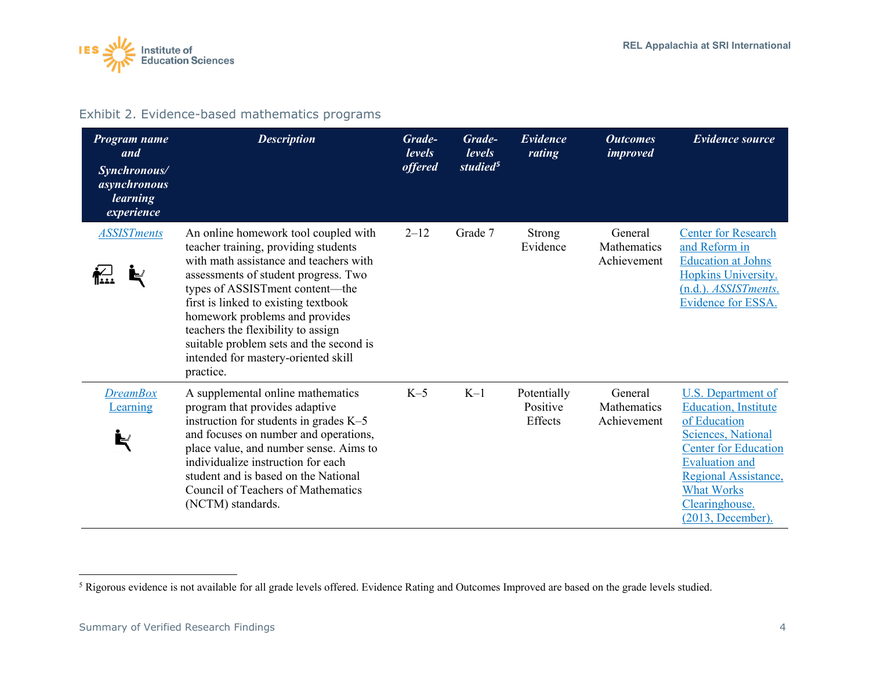<span id="page-3-0"></span>

#### Exhibit 2. Evidence-based mathematics programs

| Program name<br>and<br>Synchronous/<br>asynchronous<br><i>learning</i><br>experience | <b>Description</b>                                                                                                                                                                                                                                                                                                                                                                                               | Grade-<br><i>levels</i><br><i>offered</i> | Grade-<br>levels<br>studied <sup>5</sup> | Evidence<br>rating                 | <b>Outcomes</b><br><i>improved</i>    | <b>Evidence source</b>                                                                                                                                                                                                               |
|--------------------------------------------------------------------------------------|------------------------------------------------------------------------------------------------------------------------------------------------------------------------------------------------------------------------------------------------------------------------------------------------------------------------------------------------------------------------------------------------------------------|-------------------------------------------|------------------------------------------|------------------------------------|---------------------------------------|--------------------------------------------------------------------------------------------------------------------------------------------------------------------------------------------------------------------------------------|
| <b>ASSISTments</b>                                                                   | An online homework tool coupled with<br>teacher training, providing students<br>with math assistance and teachers with<br>assessments of student progress. Two<br>types of ASSISTment content—the<br>first is linked to existing textbook<br>homework problems and provides<br>teachers the flexibility to assign<br>suitable problem sets and the second is<br>intended for mastery-oriented skill<br>practice. | $2 - 12$                                  | Grade 7                                  | Strong<br>Evidence                 | General<br>Mathematics<br>Achievement | <b>Center for Research</b><br>and Reform in<br><b>Education at Johns</b><br>Hopkins University.<br>(n.d.). ASSISTments.<br>Evidence for ESSA.                                                                                        |
| <b>DreamBox</b><br>Learning                                                          | A supplemental online mathematics<br>program that provides adaptive<br>instruction for students in grades $K-5$<br>and focuses on number and operations,<br>place value, and number sense. Aims to<br>individualize instruction for each<br>student and is based on the National<br>Council of Teachers of Mathematics<br>(NCTM) standards.                                                                      | $K-5$                                     | $K-1$                                    | Potentially<br>Positive<br>Effects | General<br>Mathematics<br>Achievement | U.S. Department of<br><b>Education</b> , Institute<br>of Education<br>Sciences, National<br><b>Center for Education</b><br><b>Evaluation and</b><br>Regional Assistance,<br><b>What Works</b><br>Clearinghouse.<br>(2013, December). |

<sup>&</sup>lt;sup>5</sup> Rigorous evidence is not available for all grade levels offered. Evidence Rating and Outcomes Improved are based on the grade levels studied.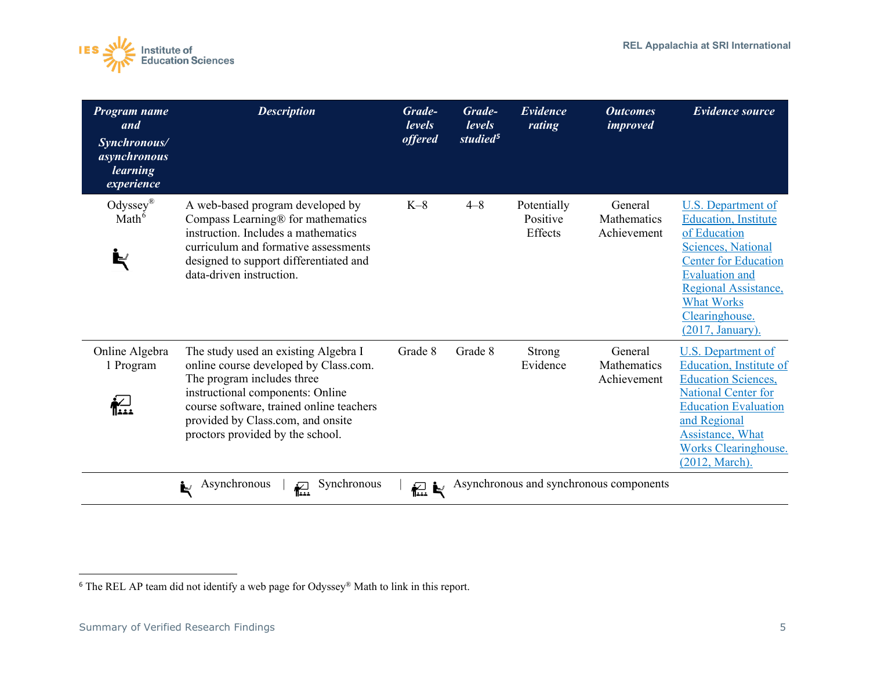<span id="page-4-0"></span>

| Program name<br>and<br>Synchronous/<br>asynchronous<br>learning<br>experience | <b>Description</b>                                                                                                                                                                                                                                                   | Grade-<br>levels<br><i>offered</i> | Grade-<br>levels<br>studied <sup>5</sup> | Evidence<br>rating                 | <b>Outcomes</b><br><i>improved</i>      | <b>Evidence source</b>                                                                                                                                                                                                              |
|-------------------------------------------------------------------------------|----------------------------------------------------------------------------------------------------------------------------------------------------------------------------------------------------------------------------------------------------------------------|------------------------------------|------------------------------------------|------------------------------------|-----------------------------------------|-------------------------------------------------------------------------------------------------------------------------------------------------------------------------------------------------------------------------------------|
| Odyssey®<br>Math <sup>6</sup><br>Þ                                            | A web-based program developed by<br>Compass Learning® for mathematics<br>instruction. Includes a mathematics<br>curriculum and formative assessments<br>designed to support differentiated and<br>data-driven instruction.                                           | $K-8$                              | $4 - 8$                                  | Potentially<br>Positive<br>Effects | General<br>Mathematics<br>Achievement   | U.S. Department of<br><b>Education</b> , Institute<br>of Education<br>Sciences, National<br><b>Center for Education</b><br><b>Evaluation and</b><br>Regional Assistance,<br><b>What Works</b><br>Clearinghouse.<br>(2017, January). |
| Online Algebra<br>1 Program                                                   | The study used an existing Algebra I<br>online course developed by Class.com.<br>The program includes three<br>instructional components: Online<br>course software, trained online teachers<br>provided by Class.com, and onsite<br>proctors provided by the school. | Grade 8                            | Grade 8                                  | Strong<br>Evidence                 | General<br>Mathematics<br>Achievement   | U.S. Department of<br>Education, Institute of<br><b>Education Sciences,</b><br>National Center for<br><b>Education Evaluation</b><br>and Regional<br><b>Assistance</b> , What<br><b>Works Clearinghouse.</b><br>(2012, March).      |
|                                                                               | Synchronous<br>Asynchronous<br>i,<br>杞                                                                                                                                                                                                                               | ことに アンディング にっぽん にっぽん だいしゅう         |                                          |                                    | Asynchronous and synchronous components |                                                                                                                                                                                                                                     |

<sup>6</sup> The REL AP team did not identify a web page for Odyssey® Math to link in this report.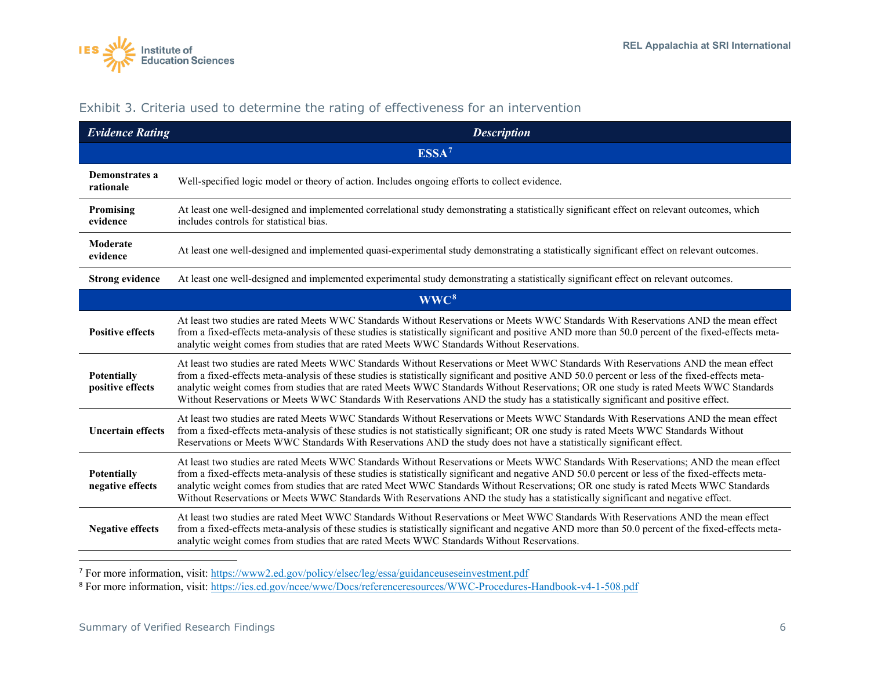<span id="page-5-1"></span><span id="page-5-0"></span>

| <b>Evidence Rating</b>                 | <b>Description</b>                                                                                                                                                                                                                                                                                                                                                                                                                                                                                                                                                     |
|----------------------------------------|------------------------------------------------------------------------------------------------------------------------------------------------------------------------------------------------------------------------------------------------------------------------------------------------------------------------------------------------------------------------------------------------------------------------------------------------------------------------------------------------------------------------------------------------------------------------|
|                                        | ESSA <sup>7</sup>                                                                                                                                                                                                                                                                                                                                                                                                                                                                                                                                                      |
| Demonstrates a<br>rationale            | Well-specified logic model or theory of action. Includes ongoing efforts to collect evidence.                                                                                                                                                                                                                                                                                                                                                                                                                                                                          |
| Promising<br>evidence                  | At least one well-designed and implemented correlational study demonstrating a statistically significant effect on relevant outcomes, which<br>includes controls for statistical bias.                                                                                                                                                                                                                                                                                                                                                                                 |
| Moderate<br>evidence                   | At least one well-designed and implemented quasi-experimental study demonstrating a statistically significant effect on relevant outcomes.                                                                                                                                                                                                                                                                                                                                                                                                                             |
| <b>Strong evidence</b>                 | At least one well-designed and implemented experimental study demonstrating a statistically significant effect on relevant outcomes.                                                                                                                                                                                                                                                                                                                                                                                                                                   |
|                                        | WWC <sup>8</sup>                                                                                                                                                                                                                                                                                                                                                                                                                                                                                                                                                       |
| <b>Positive effects</b>                | At least two studies are rated Meets WWC Standards Without Reservations or Meets WWC Standards With Reservations AND the mean effect<br>from a fixed-effects meta-analysis of these studies is statistically significant and positive AND more than 50.0 percent of the fixed-effects meta-<br>analytic weight comes from studies that are rated Meets WWC Standards Without Reservations.                                                                                                                                                                             |
| <b>Potentially</b><br>positive effects | At least two studies are rated Meets WWC Standards Without Reservations or Meet WWC Standards With Reservations AND the mean effect<br>from a fixed-effects meta-analysis of these studies is statistically significant and positive AND 50.0 percent or less of the fixed-effects meta-<br>analytic weight comes from studies that are rated Meets WWC Standards Without Reservations; OR one study is rated Meets WWC Standards<br>Without Reservations or Meets WWC Standards With Reservations AND the study has a statistically significant and positive effect.  |
| <b>Uncertain effects</b>               | At least two studies are rated Meets WWC Standards Without Reservations or Meets WWC Standards With Reservations AND the mean effect<br>from a fixed-effects meta-analysis of these studies is not statistically significant; OR one study is rated Meets WWC Standards Without<br>Reservations or Meets WWC Standards With Reservations AND the study does not have a statistically significant effect.                                                                                                                                                               |
| <b>Potentially</b><br>negative effects | At least two studies are rated Meets WWC Standards Without Reservations or Meets WWC Standards With Reservations; AND the mean effect<br>from a fixed-effects meta-analysis of these studies is statistically significant and negative AND 50.0 percent or less of the fixed-effects meta-<br>analytic weight comes from studies that are rated Meet WWC Standards Without Reservations; OR one study is rated Meets WWC Standards<br>Without Reservations or Meets WWC Standards With Reservations AND the study has a statistically significant and negative effect. |
| <b>Negative effects</b>                | At least two studies are rated Meet WWC Standards Without Reservations or Meet WWC Standards With Reservations AND the mean effect<br>from a fixed-effects meta-analysis of these studies is statistically significant and negative AND more than 50.0 percent of the fixed-effects meta-<br>analytic weight comes from studies that are rated Meets WWC Standards Without Reservations.                                                                                                                                                                               |

#### Exhibit 3. Criteria used to determine the rating of effectiveness for an intervention

<sup>7</sup> For more information, visit:<https://www2.ed.gov/policy/elsec/leg/essa/guidanceuseseinvestment.pdf>

<sup>8</sup> For more information, visit:<https://ies.ed.gov/ncee/wwc/Docs/referenceresources/WWC-Procedures-Handbook-v4-1-508.pdf>